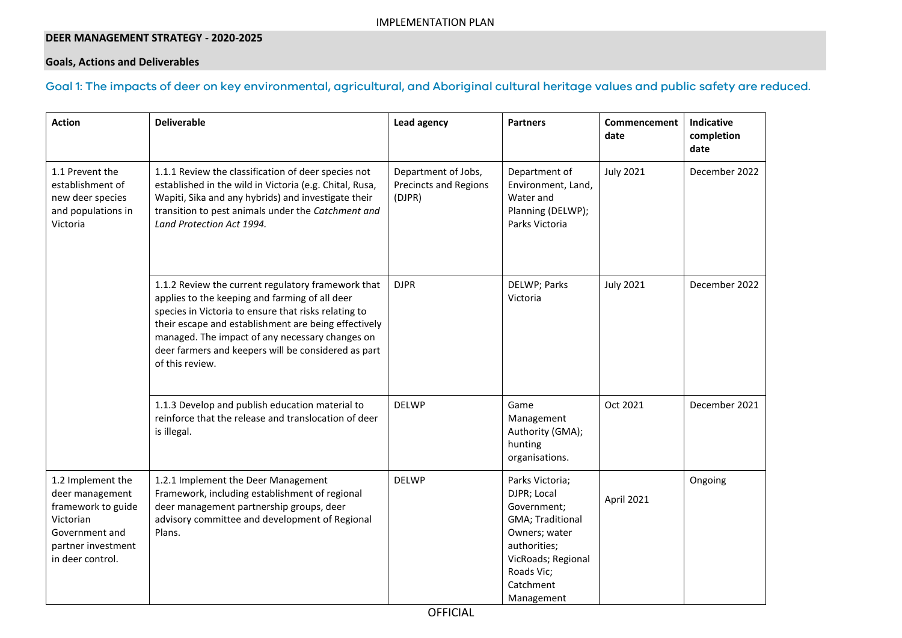### **DEER MANAGEMENT STRATEGY - 2020-2025**

### **Goals, Actions and Deliverables**

### Goal 1: The impacts of deer on key environmental, agricultural, and Aboriginal cultural heritage values and public safety are reduced.

| <b>Action</b>                                                                                                                       | <b>Deliverable</b>                                                                                                                                                                                                                                                                                                                                | Lead agency                                                   | <b>Partners</b>                                                                                                                                                   | <b>Commencement</b><br>date | <b>Indicative</b><br>completion<br>date |
|-------------------------------------------------------------------------------------------------------------------------------------|---------------------------------------------------------------------------------------------------------------------------------------------------------------------------------------------------------------------------------------------------------------------------------------------------------------------------------------------------|---------------------------------------------------------------|-------------------------------------------------------------------------------------------------------------------------------------------------------------------|-----------------------------|-----------------------------------------|
| 1.1 Prevent the<br>establishment of<br>new deer species<br>and populations in<br>Victoria                                           | 1.1.1 Review the classification of deer species not<br>established in the wild in Victoria (e.g. Chital, Rusa,<br>Wapiti, Sika and any hybrids) and investigate their<br>transition to pest animals under the Catchment and<br>Land Protection Act 1994.                                                                                          | Department of Jobs,<br><b>Precincts and Regions</b><br>(DJPR) | Department of<br>Environment, Land,<br>Water and<br>Planning (DELWP);<br>Parks Victoria                                                                           | <b>July 2021</b>            | December 2022                           |
|                                                                                                                                     | 1.1.2 Review the current regulatory framework that<br>applies to the keeping and farming of all deer<br>species in Victoria to ensure that risks relating to<br>their escape and establishment are being effectively<br>managed. The impact of any necessary changes on<br>deer farmers and keepers will be considered as part<br>of this review. | <b>DJPR</b>                                                   | DELWP; Parks<br>Victoria                                                                                                                                          | <b>July 2021</b>            | December 2022                           |
|                                                                                                                                     | 1.1.3 Develop and publish education material to<br>reinforce that the release and translocation of deer<br>is illegal.                                                                                                                                                                                                                            | <b>DELWP</b>                                                  | Game<br>Management<br>Authority (GMA);<br>hunting<br>organisations.                                                                                               | Oct 2021                    | December 2021                           |
| 1.2 Implement the<br>deer management<br>framework to guide<br>Victorian<br>Government and<br>partner investment<br>in deer control. | 1.2.1 Implement the Deer Management<br>Framework, including establishment of regional<br>deer management partnership groups, deer<br>advisory committee and development of Regional<br>Plans.                                                                                                                                                     | <b>DELWP</b>                                                  | Parks Victoria;<br>DJPR; Local<br>Government;<br>GMA; Traditional<br>Owners; water<br>authorities;<br>VicRoads; Regional<br>Roads Vic;<br>Catchment<br>Management | April 2021                  | Ongoing                                 |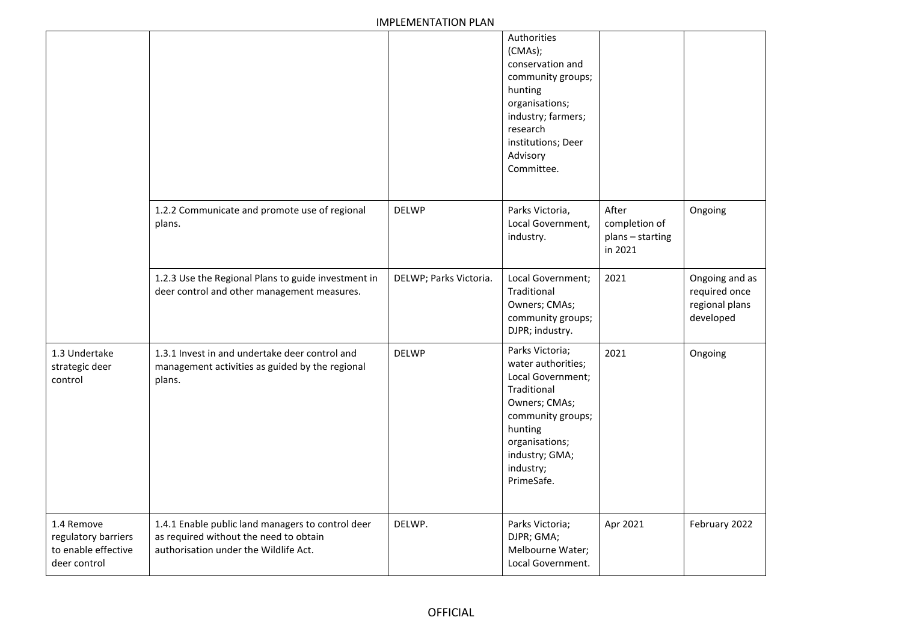|                                                                          |                                                                                                                                      |                        | Authorities<br>(CMAs);<br>conservation and<br>community groups;<br>hunting<br>organisations;<br>industry; farmers;<br>research<br>institutions; Deer<br>Advisory<br>Committee.            |                                                       |                                                                |
|--------------------------------------------------------------------------|--------------------------------------------------------------------------------------------------------------------------------------|------------------------|-------------------------------------------------------------------------------------------------------------------------------------------------------------------------------------------|-------------------------------------------------------|----------------------------------------------------------------|
|                                                                          | 1.2.2 Communicate and promote use of regional<br>plans.                                                                              | <b>DELWP</b>           | Parks Victoria,<br>Local Government,<br>industry.                                                                                                                                         | After<br>completion of<br>plans - starting<br>in 2021 | Ongoing                                                        |
|                                                                          | 1.2.3 Use the Regional Plans to guide investment in<br>deer control and other management measures.                                   | DELWP; Parks Victoria. | Local Government;<br>Traditional<br>Owners; CMAs;<br>community groups;<br>DJPR; industry.                                                                                                 | 2021                                                  | Ongoing and as<br>required once<br>regional plans<br>developed |
| 1.3 Undertake<br>strategic deer<br>control                               | 1.3.1 Invest in and undertake deer control and<br>management activities as guided by the regional<br>plans.                          | <b>DELWP</b>           | Parks Victoria;<br>water authorities;<br>Local Government;<br>Traditional<br>Owners; CMAs;<br>community groups;<br>hunting<br>organisations;<br>industry; GMA;<br>industry;<br>PrimeSafe. | 2021                                                  | Ongoing                                                        |
| 1.4 Remove<br>regulatory barriers<br>to enable effective<br>deer control | 1.4.1 Enable public land managers to control deer<br>as required without the need to obtain<br>authorisation under the Wildlife Act. | DELWP.                 | Parks Victoria;<br>DJPR; GMA;<br>Melbourne Water;<br>Local Government.                                                                                                                    | Apr 2021                                              | February 2022                                                  |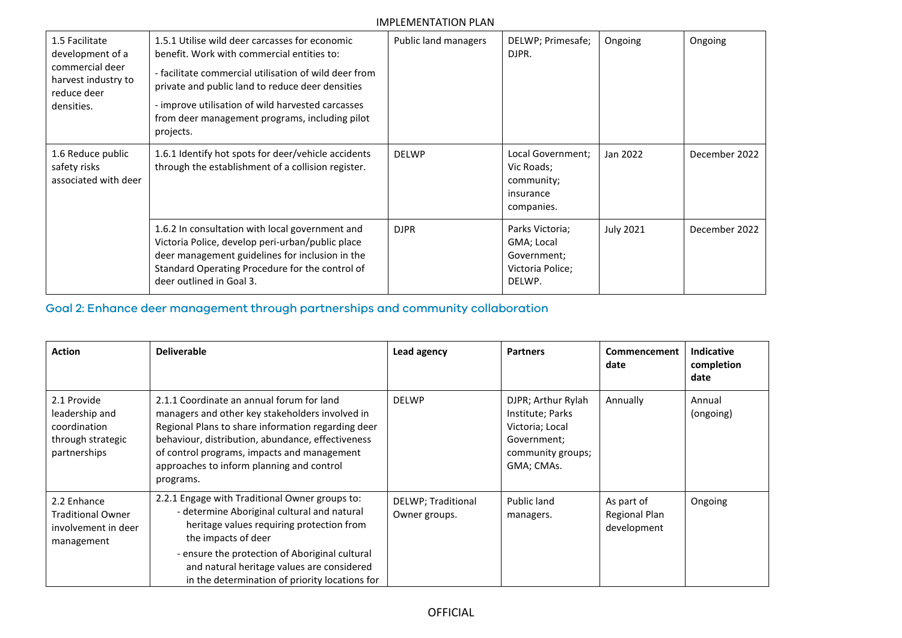| 1.5 Facilitate<br>development of a<br>commercial deer<br>harvest industry to<br>reduce deer<br>densities. | 1.5.1 Utilise wild deer carcasses for economic<br>benefit. Work with commercial entities to:<br>- facilitate commercial utilisation of wild deer from<br>private and public land to reduce deer densities<br>- improve utilisation of wild harvested carcasses<br>from deer management programs, including pilot<br>projects. | Public land managers | DELWP; Primesafe;<br>DJPR.                                                 | Ongoing          | Ongoing       |
|-----------------------------------------------------------------------------------------------------------|-------------------------------------------------------------------------------------------------------------------------------------------------------------------------------------------------------------------------------------------------------------------------------------------------------------------------------|----------------------|----------------------------------------------------------------------------|------------------|---------------|
| 1.6 Reduce public<br>safety risks<br>associated with deer                                                 | 1.6.1 Identify hot spots for deer/vehicle accidents<br>through the establishment of a collision register.                                                                                                                                                                                                                     | <b>DELWP</b>         | Local Government;<br>Vic Roads;<br>community;<br>insurance<br>companies.   | Jan 2022         | December 2022 |
|                                                                                                           | 1.6.2 In consultation with local government and<br>Victoria Police, develop peri-urban/public place<br>deer management guidelines for inclusion in the<br>Standard Operating Procedure for the control of<br>deer outlined in Goal 3.                                                                                         | <b>DJPR</b>          | Parks Victoria;<br>GMA; Local<br>Government;<br>Victoria Police;<br>DELWP. | <b>July 2021</b> | December 2022 |

# Goal 2: Enhance deer management through partnerships and community collaboration

| <b>Action</b>                                                                      | <b>Deliverable</b>                                                                                                                                                                                                                                                                                                  | Lead agency                         | <b>Partners</b>                                                                                             | Commencement<br>date                       | <b>Indicative</b><br>completion<br>date |
|------------------------------------------------------------------------------------|---------------------------------------------------------------------------------------------------------------------------------------------------------------------------------------------------------------------------------------------------------------------------------------------------------------------|-------------------------------------|-------------------------------------------------------------------------------------------------------------|--------------------------------------------|-----------------------------------------|
| 2.1 Provide<br>leadership and<br>coordination<br>through strategic<br>partnerships | 2.1.1 Coordinate an annual forum for land<br>managers and other key stakeholders involved in<br>Regional Plans to share information regarding deer<br>behaviour, distribution, abundance, effectiveness<br>of control programs, impacts and management<br>approaches to inform planning and control<br>programs.    | <b>DELWP</b>                        | DJPR; Arthur Rylah<br>Institute; Parks<br>Victoria; Local<br>Government;<br>community groups;<br>GMA; CMAs. | Annually                                   | Annual<br>(ongoing)                     |
| 2.2 Enhance<br><b>Traditional Owner</b><br>involvement in deer<br>management       | 2.2.1 Engage with Traditional Owner groups to:<br>- determine Aboriginal cultural and natural<br>heritage values requiring protection from<br>the impacts of deer<br>- ensure the protection of Aboriginal cultural<br>and natural heritage values are considered<br>in the determination of priority locations for | DELWP; Traditional<br>Owner groups. | Public land<br>managers.                                                                                    | As part of<br>Regional Plan<br>development | Ongoing                                 |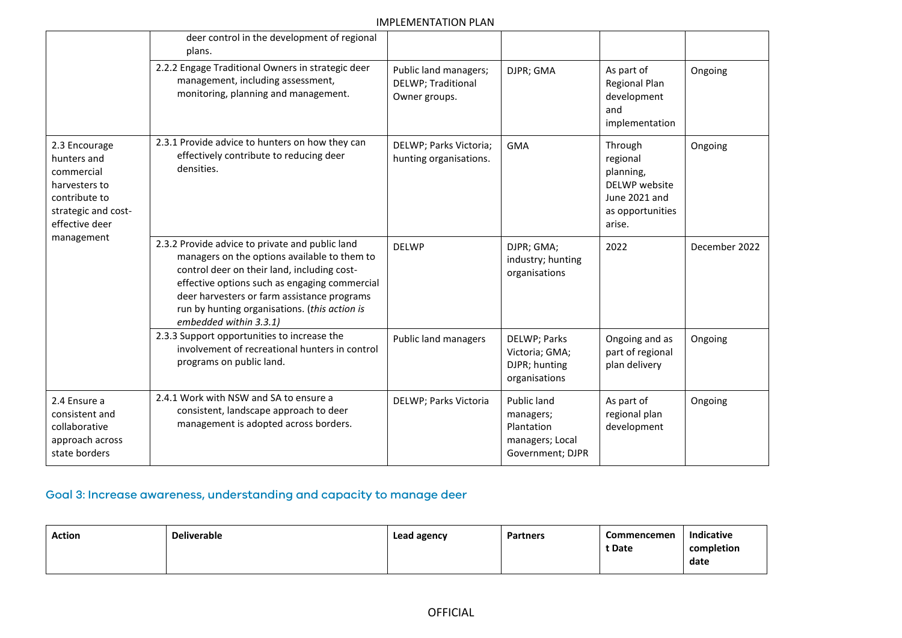|                                                                                                                                     | deer control in the development of regional<br>plans.                                                                                                                                                                                                                                                                     |                                                              |                                                                               |                                                                                                  |               |
|-------------------------------------------------------------------------------------------------------------------------------------|---------------------------------------------------------------------------------------------------------------------------------------------------------------------------------------------------------------------------------------------------------------------------------------------------------------------------|--------------------------------------------------------------|-------------------------------------------------------------------------------|--------------------------------------------------------------------------------------------------|---------------|
|                                                                                                                                     | 2.2.2 Engage Traditional Owners in strategic deer<br>management, including assessment,<br>monitoring, planning and management.                                                                                                                                                                                            | Public land managers;<br>DELWP; Traditional<br>Owner groups. | DJPR; GMA                                                                     | As part of<br>Regional Plan<br>development<br>and<br>implementation                              | Ongoing       |
| 2.3 Encourage<br>hunters and<br>commercial<br>harvesters to<br>contribute to<br>strategic and cost-<br>effective deer<br>management | 2.3.1 Provide advice to hunters on how they can<br>effectively contribute to reducing deer<br>densities.                                                                                                                                                                                                                  | DELWP; Parks Victoria;<br>hunting organisations.             | <b>GMA</b>                                                                    | Through<br>regional<br>planning,<br>DELWP website<br>June 2021 and<br>as opportunities<br>arise. | Ongoing       |
|                                                                                                                                     | 2.3.2 Provide advice to private and public land<br>managers on the options available to them to<br>control deer on their land, including cost-<br>effective options such as engaging commercial<br>deer harvesters or farm assistance programs<br>run by hunting organisations. (this action is<br>embedded within 3.3.1) | <b>DELWP</b>                                                 | DJPR; GMA;<br>industry; hunting<br>organisations                              | 2022                                                                                             | December 2022 |
|                                                                                                                                     | 2.3.3 Support opportunities to increase the<br>involvement of recreational hunters in control<br>programs on public land.                                                                                                                                                                                                 | Public land managers                                         | DELWP; Parks<br>Victoria; GMA;<br>DJPR; hunting<br>organisations              | Ongoing and as<br>part of regional<br>plan delivery                                              | Ongoing       |
| 2.4 Ensure a<br>consistent and<br>collaborative<br>approach across<br>state borders                                                 | 2.4.1 Work with NSW and SA to ensure a<br>consistent, landscape approach to deer<br>management is adopted across borders.                                                                                                                                                                                                 | DELWP; Parks Victoria                                        | Public land<br>managers;<br>Plantation<br>managers; Local<br>Government; DJPR | As part of<br>regional plan<br>development                                                       | Ongoing       |

# Goal 3: Increase awareness, understanding and capacity to manage deer

| <b>Action</b> | <b>Deliverable</b> | Lead agency | <b>Partners</b> | <b>Commencemen</b> | <b>Indicative</b> |
|---------------|--------------------|-------------|-----------------|--------------------|-------------------|
|               |                    |             |                 | t Date             | completion        |
|               |                    |             |                 |                    | date              |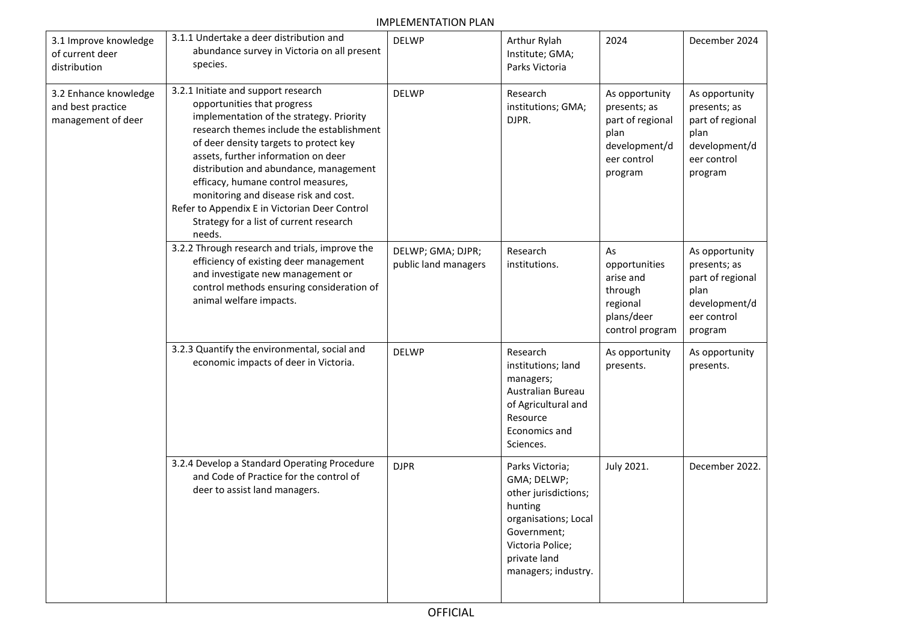| 3.1 Improve knowledge<br>of current deer<br>distribution         | 3.1.1 Undertake a deer distribution and<br>abundance survey in Victoria on all present<br>species.                                                                                                                                                                                                                                                                                                                                                                          | <b>DELWP</b>                              | Arthur Rylah<br>Institute; GMA;<br>Parks Victoria                                                                                                                   | 2024                                                                                                  | December 2024                                                                                         |
|------------------------------------------------------------------|-----------------------------------------------------------------------------------------------------------------------------------------------------------------------------------------------------------------------------------------------------------------------------------------------------------------------------------------------------------------------------------------------------------------------------------------------------------------------------|-------------------------------------------|---------------------------------------------------------------------------------------------------------------------------------------------------------------------|-------------------------------------------------------------------------------------------------------|-------------------------------------------------------------------------------------------------------|
| 3.2 Enhance knowledge<br>and best practice<br>management of deer | 3.2.1 Initiate and support research<br>opportunities that progress<br>implementation of the strategy. Priority<br>research themes include the establishment<br>of deer density targets to protect key<br>assets, further information on deer<br>distribution and abundance, management<br>efficacy, humane control measures,<br>monitoring and disease risk and cost.<br>Refer to Appendix E in Victorian Deer Control<br>Strategy for a list of current research<br>needs. | <b>DELWP</b>                              | Research<br>institutions; GMA;<br>DJPR.                                                                                                                             | As opportunity<br>presents; as<br>part of regional<br>plan<br>development/d<br>eer control<br>program | As opportunity<br>presents; as<br>part of regional<br>plan<br>development/d<br>eer control<br>program |
|                                                                  | 3.2.2 Through research and trials, improve the<br>efficiency of existing deer management<br>and investigate new management or<br>control methods ensuring consideration of<br>animal welfare impacts.                                                                                                                                                                                                                                                                       | DELWP; GMA; DJPR;<br>public land managers | Research<br>institutions.                                                                                                                                           | As<br>opportunities<br>arise and<br>through<br>regional<br>plans/deer<br>control program              | As opportunity<br>presents; as<br>part of regional<br>plan<br>development/d<br>eer control<br>program |
|                                                                  | 3.2.3 Quantify the environmental, social and<br>economic impacts of deer in Victoria.                                                                                                                                                                                                                                                                                                                                                                                       | <b>DELWP</b>                              | Research<br>institutions; land<br>managers;<br>Australian Bureau<br>of Agricultural and<br>Resource<br>Economics and<br>Sciences.                                   | As opportunity<br>presents.                                                                           | As opportunity<br>presents.                                                                           |
|                                                                  | 3.2.4 Develop a Standard Operating Procedure<br>and Code of Practice for the control of<br>deer to assist land managers.                                                                                                                                                                                                                                                                                                                                                    | <b>DJPR</b>                               | Parks Victoria;<br>GMA; DELWP;<br>other jurisdictions;<br>hunting<br>organisations; Local<br>Government;<br>Victoria Police;<br>private land<br>managers; industry. | July 2021.                                                                                            | December 2022.                                                                                        |